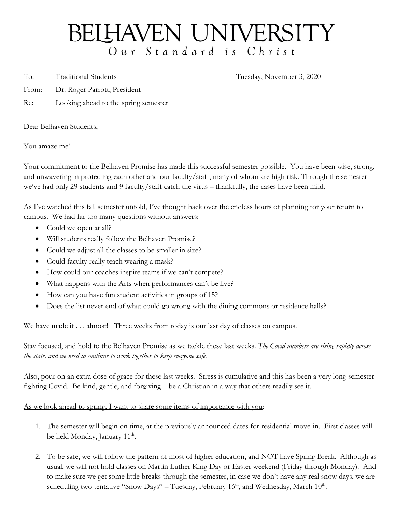## BELHAVEN UNIVERSITY Our Standard is Christ

To: Traditional Students Tuesday, November 3, 2020

- From: Dr. Roger Parrott, President
- Re: Looking ahead to the spring semester

Dear Belhaven Students,

You amaze me!

Your commitment to the Belhaven Promise has made this successful semester possible. You have been wise, strong, and unwavering in protecting each other and our faculty/staff, many of whom are high risk. Through the semester we've had only 29 students and 9 faculty/staff catch the virus – thankfully, the cases have been mild.

As I've watched this fall semester unfold, I've thought back over the endless hours of planning for your return to campus. We had far too many questions without answers:

- Could we open at all?
- Will students really follow the Belhaven Promise?
- Could we adjust all the classes to be smaller in size?
- Could faculty really teach wearing a mask?
- How could our coaches inspire teams if we can't compete?
- What happens with the Arts when performances can't be live?
- How can you have fun student activities in groups of 15?
- Does the list never end of what could go wrong with the dining commons or residence halls?

We have made it . . . almost! Three weeks from today is our last day of classes on campus.

Stay focused, and hold to the Belhaven Promise as we tackle these last weeks. *The Covid numbers are rising rapidly across the state, and we need to continue to work together to keep everyone safe.* 

Also, pour on an extra dose of grace for these last weeks. Stress is cumulative and this has been a very long semester fighting Covid. Be kind, gentle, and forgiving – be a Christian in a way that others readily see it.

## As we look ahead to spring, I want to share some items of importance with you:

- 1. The semester will begin on time, at the previously announced dates for residential move-in. First classes will be held Monday, January  $11<sup>th</sup>$ .
- 2. To be safe, we will follow the pattern of most of higher education, and NOT have Spring Break. Although as usual, we will not hold classes on Martin Luther King Day or Easter weekend (Friday through Monday). And to make sure we get some little breaks through the semester, in case we don't have any real snow days, we are scheduling two tentative "Snow Days" – Tuesday, February  $16<sup>th</sup>$ , and Wednesday, March  $10<sup>th</sup>$ .